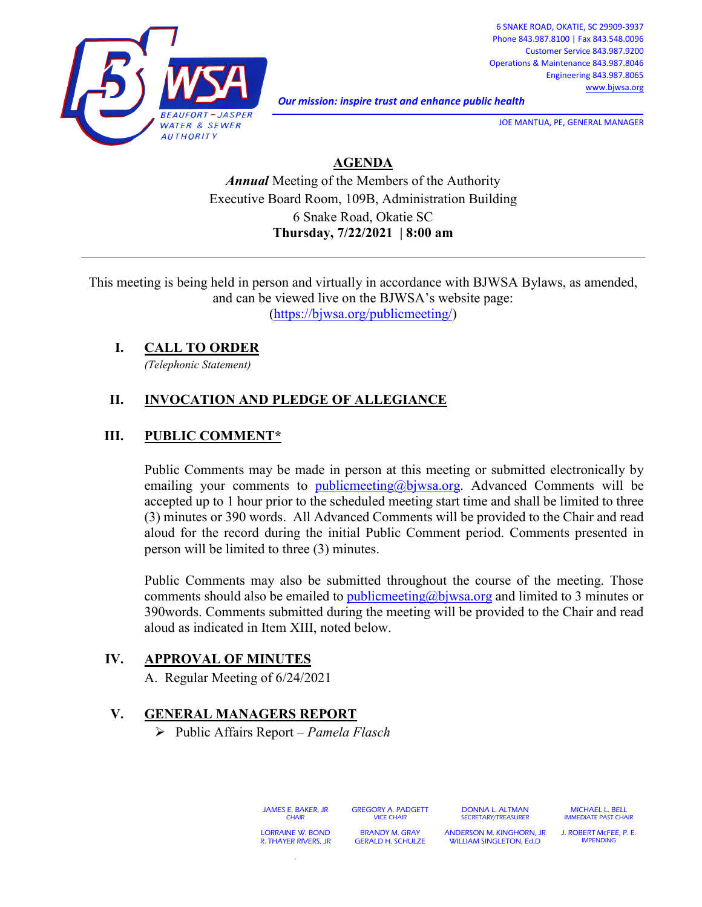

*Our mission: inspire trust and enhance public health* 

**JOE MANTUA, PE, GENERAL MANAGER** 

# **AGENDA**

*Annual* Meeting of the Members of the Authority Executive Board Room, 109B, Administration Building 6 Snake Road, Okatie SC **Thursday, 7/22/2021 | 8:00 am**

This meeting is being held in person and virtually in accordance with BJWSA Bylaws, as amended, and can be viewed live on the BJWSA's website page:

[\(https://bjwsa.org/publicmeeting/\)](https://bjwsa.org/publicmeeting/)

#### **I. CALL TO ORDER**

*(Telephonic Statement)*

## **II. INVOCATION AND PLEDGE OF ALLEGIANCE**

#### **III. PUBLIC COMMENT\***

Public Comments may be made in person at this meeting or submitted electronically by emailing your comments to [publicmeeting@bjwsa.org.](mailto:publicmeeting@bjwsa.org) Advanced Comments will be accepted up to 1 hour prior to the scheduled meeting start time and shall be limited to three (3) minutes or 390 words. All Advanced Comments will be provided to the Chair and read aloud for the record during the initial Public Comment period. Comments presented in person will be limited to three (3) minutes.

Public Comments may also be submitted throughout the course of the meeting. Those comments should also be emailed to publicmeeting  $(a)$  by we allow and limited to 3 minutes or 390words. Comments submitted during the meeting will be provided to the Chair and read aloud as indicated in Item XIII, noted below.

### **IV. APPROVAL OF MINUTES**

A. Regular Meeting of 6/24/2021

### **V. GENERAL MANAGERS REPORT**

Public Affairs Report – *Pamela Flasch*

JAMES E. BAKER, JR **CHAIR** LORRAINE W. BOND

R. THAYER RIVERS, JR .

GREGORY A. PADGETT VICE CHAIR BRANDY M. GRAY

GERALD H. SCHULZE

DONNA L. ALTMAN SECRETARY/TREASURER

ANDERSON M. KINGHORN, JR WILLIAM SINGLETON, Ed.D

MICHAEL L. BELL IMMEDIATE PAST CHAIR

J. ROBERT McFEE, P. E. IMPENDING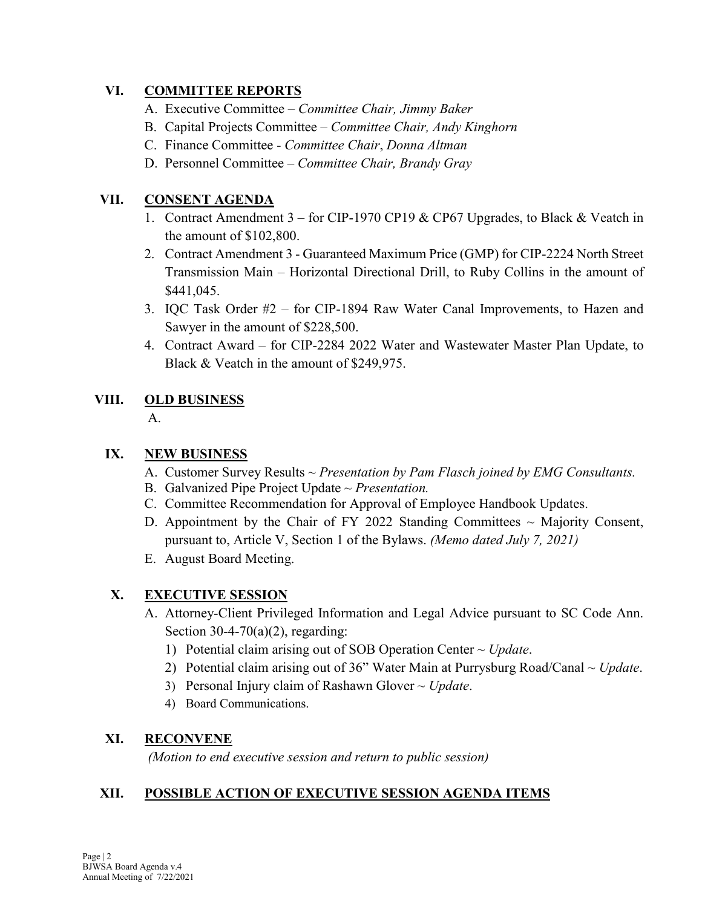### **VI. COMMITTEE REPORTS**

- A. Executive Committee *Committee Chair, Jimmy Baker*
- B. Capital Projects Committee *Committee Chair, Andy Kinghorn*
- C. Finance Committee *Committee Chair*, *Donna Altman*
- D. Personnel Committee *Committee Chair, Brandy Gray*

#### **VII. CONSENT AGENDA**

- 1. Contract Amendment 3 for CIP-1970 CP19 & CP67 Upgrades, to Black & Veatch in the amount of \$102,800.
- 2. Contract Amendment 3 Guaranteed Maximum Price (GMP) for CIP-2224 North Street Transmission Main – Horizontal Directional Drill, to Ruby Collins in the amount of \$441,045.
- 3. IQC Task Order #2 for CIP-1894 Raw Water Canal Improvements, to Hazen and Sawyer in the amount of \$228,500.
- 4. Contract Award for CIP-2284 2022 Water and Wastewater Master Plan Update, to Black & Veatch in the amount of \$249,975.

### **VIII. OLD BUSINESS**

A.

### **IX. NEW BUSINESS**

- A. Customer Survey Results ~ *Presentation by Pam Flasch joined by EMG Consultants.*
- B. Galvanized Pipe Project Update ~ *Presentation.*
- C. Committee Recommendation for Approval of Employee Handbook Updates.
- D. Appointment by the Chair of FY 2022 Standing Committees  $\sim$  Majority Consent, pursuant to, Article V, Section 1 of the Bylaws. *(Memo dated July 7, 2021)*
- E. August Board Meeting.

### **X. EXECUTIVE SESSION**

- A. Attorney-Client Privileged Information and Legal Advice pursuant to SC Code Ann. Section  $30-4-70(a)(2)$ , regarding:
	- 1) Potential claim arising out of SOB Operation Center ~ *Update*.
	- 2) Potential claim arising out of 36" Water Main at Purrysburg Road/Canal ~ *Update*.
	- 3) Personal Injury claim of Rashawn Glover ~ *Update*.
	- 4) Board Communications.

### **XI. RECONVENE**

*(Motion to end executive session and return to public session)*

### **XII. POSSIBLE ACTION OF EXECUTIVE SESSION AGENDA ITEMS**